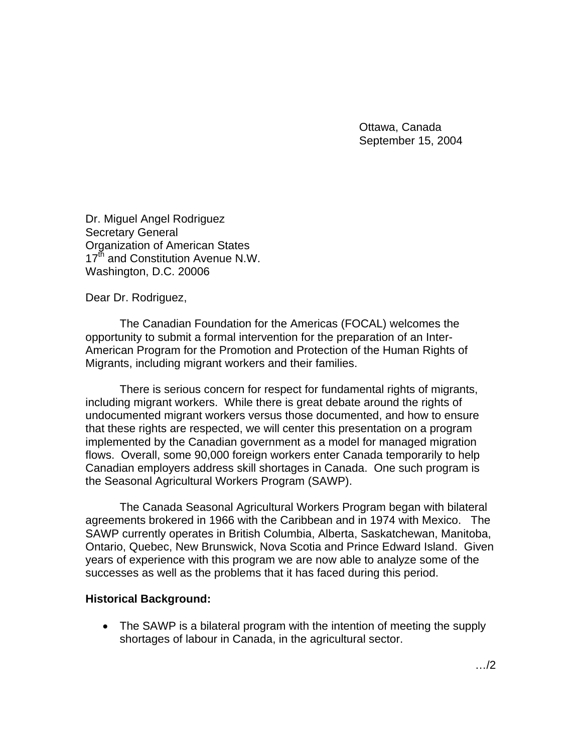Ottawa, Canada September 15, 2004

Dr. Miguel Angel Rodriguez Secretary General Organization of American States 17<sup>th</sup> and Constitution Avenue N.W. Washington, D.C. 20006

Dear Dr. Rodriguez,

The Canadian Foundation for the Americas (FOCAL) welcomes the opportunity to submit a formal intervention for the preparation of an Inter-American Program for the Promotion and Protection of the Human Rights of Migrants, including migrant workers and their families.

There is serious concern for respect for fundamental rights of migrants, including migrant workers. While there is great debate around the rights of undocumented migrant workers versus those documented, and how to ensure that these rights are respected, we will center this presentation on a program implemented by the Canadian government as a model for managed migration flows. Overall, some 90,000 foreign workers enter Canada temporarily to help Canadian employers address skill shortages in Canada. One such program is the Seasonal Agricultural Workers Program (SAWP).

The Canada Seasonal Agricultural Workers Program began with bilateral agreements brokered in 1966 with the Caribbean and in 1974 with Mexico. The SAWP currently operates in British Columbia, Alberta, Saskatchewan, Manitoba, Ontario, Quebec, New Brunswick, Nova Scotia and Prince Edward Island. Given years of experience with this program we are now able to analyze some of the successes as well as the problems that it has faced during this period.

#### **Historical Background:**

• The SAWP is a bilateral program with the intention of meeting the supply shortages of labour in Canada, in the agricultural sector.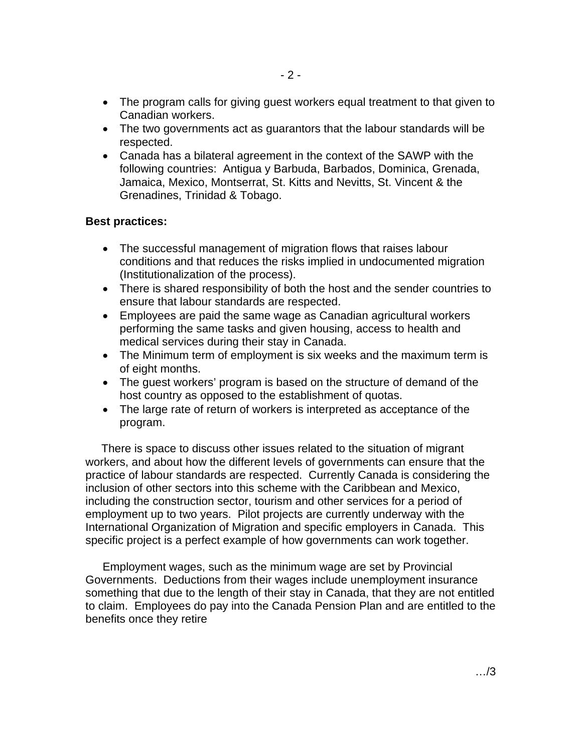- The program calls for giving guest workers equal treatment to that given to Canadian workers.
- The two governments act as guarantors that the labour standards will be respected.
- Canada has a bilateral agreement in the context of the SAWP with the following countries: Antigua y Barbuda, Barbados, Dominica, Grenada, Jamaica, Mexico, Montserrat, St. Kitts and Nevitts, St. Vincent & the Grenadines, Trinidad & Tobago.

#### **Best practices:**

- The successful management of migration flows that raises labour conditions and that reduces the risks implied in undocumented migration (Institutionalization of the process).
- There is shared responsibility of both the host and the sender countries to ensure that labour standards are respected.
- Employees are paid the same wage as Canadian agricultural workers performing the same tasks and given housing, access to health and medical services during their stay in Canada.
- The Minimum term of employment is six weeks and the maximum term is of eight months.
- The guest workers' program is based on the structure of demand of the host country as opposed to the establishment of quotas.
- The large rate of return of workers is interpreted as acceptance of the program.

 There is space to discuss other issues related to the situation of migrant workers, and about how the different levels of governments can ensure that the practice of labour standards are respected. Currently Canada is considering the inclusion of other sectors into this scheme with the Caribbean and Mexico, including the construction sector, tourism and other services for a period of employment up to two years. Pilot projects are currently underway with the International Organization of Migration and specific employers in Canada. This specific project is a perfect example of how governments can work together.

Employment wages, such as the minimum wage are set by Provincial Governments. Deductions from their wages include unemployment insurance something that due to the length of their stay in Canada, that they are not entitled to claim. Employees do pay into the Canada Pension Plan and are entitled to the benefits once they retire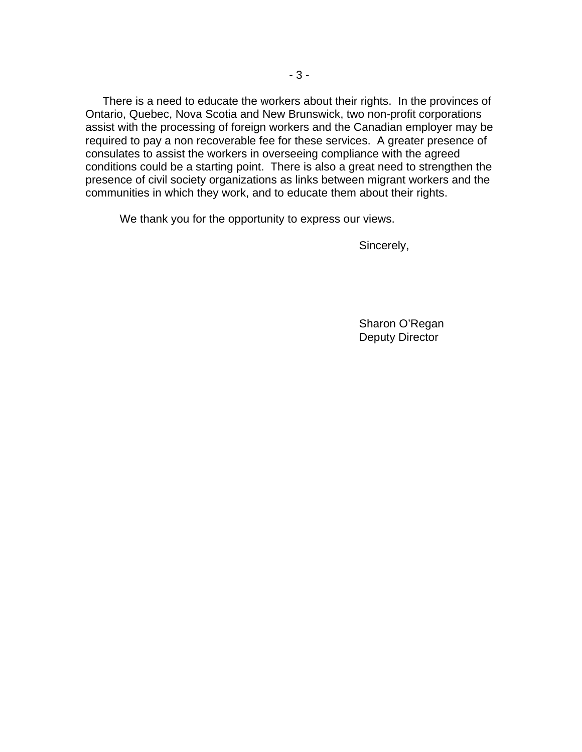There is a need to educate the workers about their rights. In the provinces of Ontario, Quebec, Nova Scotia and New Brunswick, two non-profit corporations assist with the processing of foreign workers and the Canadian employer may be required to pay a non recoverable fee for these services. A greater presence of consulates to assist the workers in overseeing compliance with the agreed conditions could be a starting point. There is also a great need to strengthen the presence of civil society organizations as links between migrant workers and the communities in which they work, and to educate them about their rights.

We thank you for the opportunity to express our views.

Sincerely,

 Sharon O'Regan Deputy Director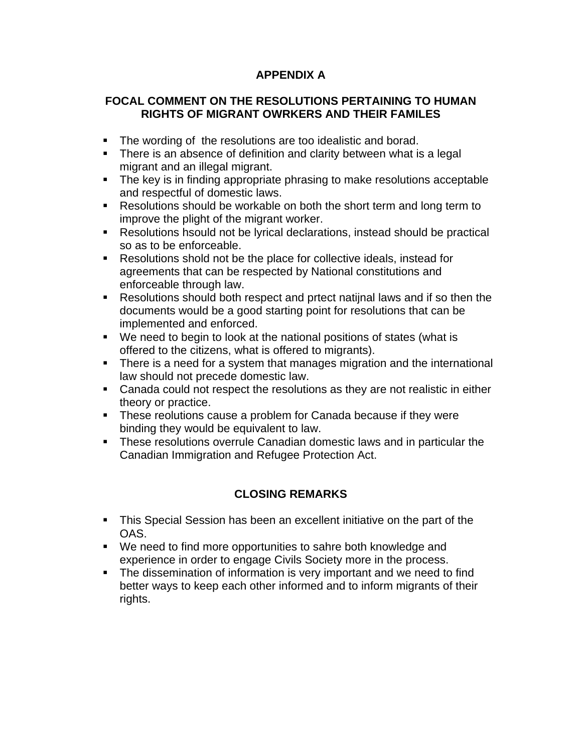## **APPENDIX A**

### **FOCAL COMMENT ON THE RESOLUTIONS PERTAINING TO HUMAN RIGHTS OF MIGRANT OWRKERS AND THEIR FAMILES**

- **The wording of the resolutions are too idealistic and borad.**
- There is an absence of definition and clarity between what is a legal migrant and an illegal migrant.
- The key is in finding appropriate phrasing to make resolutions acceptable and respectful of domestic laws.
- Resolutions should be workable on both the short term and long term to improve the plight of the migrant worker.
- Resolutions hsould not be lyrical declarations, instead should be practical so as to be enforceable.
- Resolutions shold not be the place for collective ideals, instead for agreements that can be respected by National constitutions and enforceable through law.
- Resolutions should both respect and prtect natijnal laws and if so then the documents would be a good starting point for resolutions that can be implemented and enforced.
- We need to begin to look at the national positions of states (what is offered to the citizens, what is offered to migrants).
- There is a need for a system that manages migration and the international law should not precede domestic law.
- Canada could not respect the resolutions as they are not realistic in either theory or practice.
- **These reolutions cause a problem for Canada because if they were** binding they would be equivalent to law.
- These resolutions overrule Canadian domestic laws and in particular the Canadian Immigration and Refugee Protection Act.

# **CLOSING REMARKS**

- This Special Session has been an excellent initiative on the part of the OAS.
- We need to find more opportunities to sahre both knowledge and experience in order to engage Civils Society more in the process.
- The dissemination of information is very important and we need to find better ways to keep each other informed and to inform migrants of their rights.